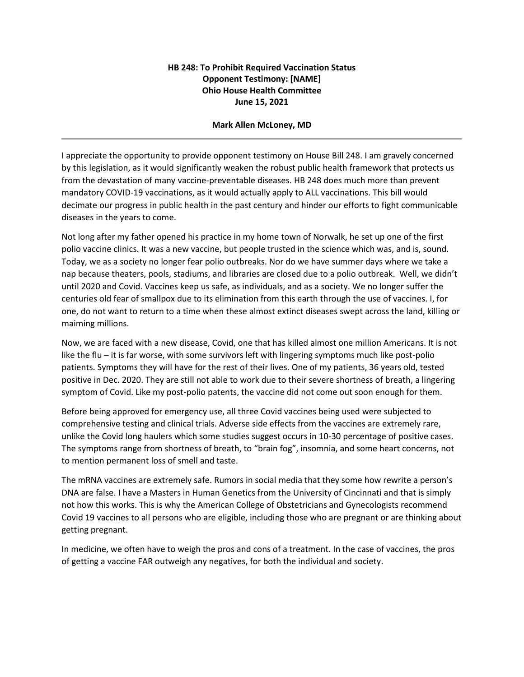## **HB 248: To Prohibit Required Vaccination Status Opponent Testimony: [NAME] Ohio House Health Committee June 15, 2021**

## **Mark Allen McLoney, MD**

I appreciate the opportunity to provide opponent testimony on House Bill 248. I am gravely concerned by this legislation, as it would significantly weaken the robust public health framework that protects us from the devastation of many vaccine-preventable diseases. HB 248 does much more than prevent mandatory COVID-19 vaccinations, as it would actually apply to ALL vaccinations. This bill would decimate our progress in public health in the past century and hinder our efforts to fight communicable diseases in the years to come.

Not long after my father opened his practice in my home town of Norwalk, he set up one of the first polio vaccine clinics. It was a new vaccine, but people trusted in the science which was, and is, sound. Today, we as a society no longer fear polio outbreaks. Nor do we have summer days where we take a nap because theaters, pools, stadiums, and libraries are closed due to a polio outbreak. Well, we didn't until 2020 and Covid. Vaccines keep us safe, as individuals, and as a society. We no longer suffer the centuries old fear of smallpox due to its elimination from this earth through the use of vaccines. I, for one, do not want to return to a time when these almost extinct diseases swept across the land, killing or maiming millions.

Now, we are faced with a new disease, Covid, one that has killed almost one million Americans. It is not like the flu – it is far worse, with some survivors left with lingering symptoms much like post-polio patients. Symptoms they will have for the rest of their lives. One of my patients, 36 years old, tested positive in Dec. 2020. They are still not able to work due to their severe shortness of breath, a lingering symptom of Covid. Like my post-polio patents, the vaccine did not come out soon enough for them.

Before being approved for emergency use, all three Covid vaccines being used were subjected to comprehensive testing and clinical trials. Adverse side effects from the vaccines are extremely rare, unlike the Covid long haulers which some studies suggest occurs in 10-30 percentage of positive cases. The symptoms range from shortness of breath, to "brain fog", insomnia, and some heart concerns, not to mention permanent loss of smell and taste.

The mRNA vaccines are extremely safe. Rumors in social media that they some how rewrite a person's DNA are false. I have a Masters in Human Genetics from the University of Cincinnati and that is simply not how this works. This is why the American College of Obstetricians and Gynecologists recommend Covid 19 vaccines to all persons who are eligible, including those who are pregnant or are thinking about getting pregnant.

In medicine, we often have to weigh the pros and cons of a treatment. In the case of vaccines, the pros of getting a vaccine FAR outweigh any negatives, for both the individual and society.